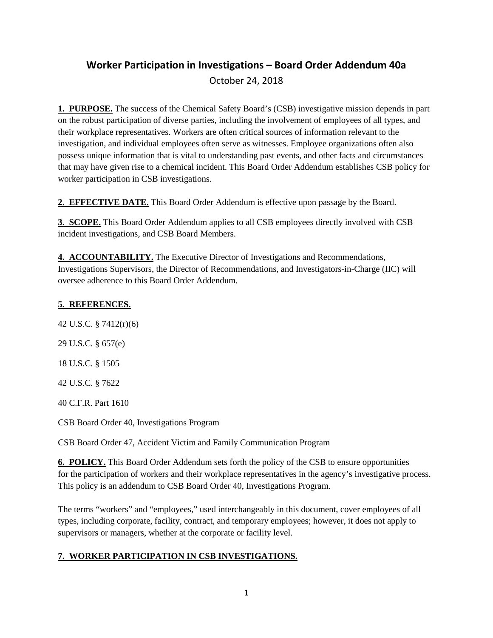# **Worker Participation in Investigations – Board Order Addendum 40a** October 24, 2018

**1. PURPOSE.** The success of the Chemical Safety Board's (CSB) investigative mission depends in part on the robust participation of diverse parties, including the involvement of employees of all types, and their workplace representatives. Workers are often critical sources of information relevant to the investigation, and individual employees often serve as witnesses. Employee organizations often also possess unique information that is vital to understanding past events, and other facts and circumstances that may have given rise to a chemical incident. This Board Order Addendum establishes CSB policy for worker participation in CSB investigations.

**2. EFFECTIVE DATE.** This Board Order Addendum is effective upon passage by the Board.

**3. SCOPE.** This Board Order Addendum applies to all CSB employees directly involved with CSB incident investigations, and CSB Board Members.

**4. ACCOUNTABILITY.** The Executive Director of Investigations and Recommendations, Investigations Supervisors, the Director of Recommendations, and Investigators-in-Charge (IIC) will oversee adherence to this Board Order Addendum.

# **5. REFERENCES.**

42 U.S.C. § 7412(r)(6)

29 U.S.C. § 657(e)

18 U.S.C. § 1505

42 U.S.C. § 7622

40 C.F.R. Part 1610

[CSB Board Order 40, Investigations Program](https://www.csb.gov/assets/record/board_order_040_approved_2_14_17.pdf)

[CSB Board Order 47, Accident Victim and Family Communication Program](https://www.csb.gov/assets/record/board_order_047_csb_victim_and_family_communication_program_final.pdf)

**6. POLICY.** This Board Order Addendum sets forth the policy of the CSB to ensure opportunities for the participation of workers and their workplace representatives in the agency's investigative process. This policy is an addendum to CSB Board Order 40, Investigations Program.

The terms "workers" and "employees," used interchangeably in this document, cover employees of all types, including corporate, facility, contract, and temporary employees; however, it does not apply to supervisors or managers, whether at the corporate or facility level.

# **7. WORKER PARTICIPATION IN CSB INVESTIGATIONS.**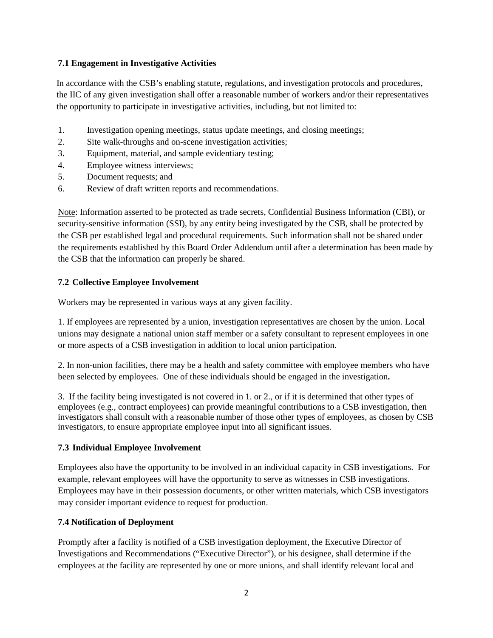### **7.1 Engagement in Investigative Activities**

 In accordance with the CSB's enabling statute, regulations, and investigation protocols and procedures, the IIC of any given investigation shall offer a reasonable number of workers and/or their representatives the opportunity to participate in investigative activities, including, but not limited to:

- 1. Investigation opening meetings, status update meetings, and closing meetings;
- 2. Site walk-throughs and on-scene investigation activities;
- 3. Equipment, material, and sample evidentiary testing;
- 4. Employee witness interviews;
- 5. Document requests; and
- 6. Review of draft written reports and recommendations.

Note: Information asserted to be protected as trade secrets, Confidential Business Information (CBI), or security-sensitive information (SSI), by any entity being investigated by the CSB, shall be protected by the CSB per established legal and procedural requirements. Such information shall not be shared under the requirements established by this Board Order Addendum until after a determination has been made by the CSB that the information can properly be shared.

### **7.2 Collective Employee Involvement**

Workers may be represented in various ways at any given facility.

1. If employees are represented by a union, investigation representatives are chosen by the union. Local unions may designate a national union staff member or a safety consultant to represent employees in one or more aspects of a CSB investigation in addition to local union participation.

2. In non-union facilities, there may be a health and safety committee with employee members who have been selected by employees. One of these individuals should be engaged in the investigation**.**

3. If the facility being investigated is not covered in 1. or 2., or if it is determined that other types of employees (e.g., contract employees) can provide meaningful contributions to a CSB investigation, then investigators shall consult with a reasonable number of those other types of employees, as chosen by CSB investigators, to ensure appropriate employee input into all significant issues.

# **7.3 Individual Employee Involvement**

Employees also have the opportunity to be involved in an individual capacity in CSB investigations. For example, relevant employees will have the opportunity to serve as witnesses in CSB investigations. Employees may have in their possession documents, or other written materials, which CSB investigators may consider important evidence to request for production.

#### **7.4 Notification of Deployment**

Promptly after a facility is notified of a CSB investigation deployment, the Executive Director of Investigations and Recommendations ("Executive Director"), or his designee, shall determine if the employees at the facility are represented by one or more unions, and shall identify relevant local and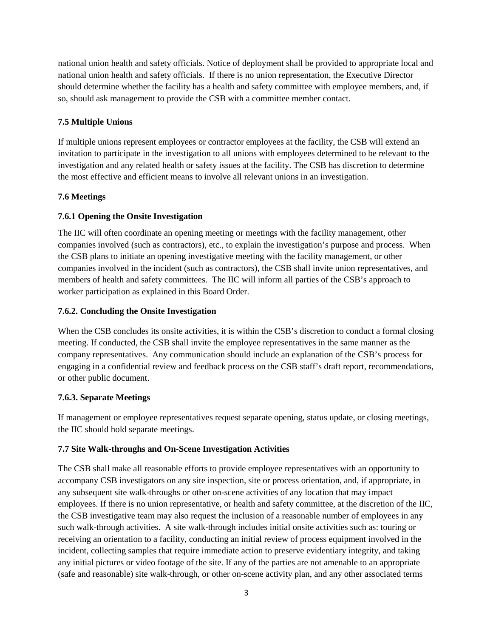national union health and safety officials. Notice of deployment shall be provided to appropriate local and national union health and safety officials. If there is no union representation, the Executive Director should determine whether the facility has a health and safety committee with employee members, and, if so, should ask management to provide the CSB with a committee member contact.

# **7.5 Multiple Unions**

If multiple unions represent employees or contractor employees at the facility, the CSB will extend an invitation to participate in the investigation to all unions with employees determined to be relevant to the investigation and any related health or safety issues at the facility. The CSB has discretion to determine the most effective and efficient means to involve all relevant unions in an investigation.

# **7.6 Meetings**

# **7.6.1 Opening the Onsite Investigation**

The IIC will often coordinate an opening meeting or meetings with the facility management, other companies involved (such as contractors), etc., to explain the investigation's purpose and process. When the CSB plans to initiate an opening investigative meeting with the facility management, or other companies involved in the incident (such as contractors), the CSB shall invite union representatives, and members of health and safety committees. The IIC will inform all parties of the CSB's approach to worker participation as explained in this Board Order.

# **7.6.2. Concluding the Onsite Investigation**

When the CSB concludes its onsite activities, it is within the CSB's discretion to conduct a formal closing meeting. If conducted, the CSB shall invite the employee representatives in the same manner as the company representatives. Any communication should include an explanation of the CSB's process for engaging in a confidential review and feedback process on the CSB staff's draft report, recommendations, or other public document.

# **7.6.3. Separate Meetings**

If management or employee representatives request separate opening, status update, or closing meetings, the IIC should hold separate meetings.

# **7.7 Site Walk-throughs and On-Scene Investigation Activities**

The CSB shall make all reasonable efforts to provide employee representatives with an opportunity to accompany CSB investigators on any site inspection, site or process orientation, and, if appropriate, in any subsequent site walk-throughs or other on-scene activities of any location that may impact employees. If there is no union representative, or health and safety committee, at the discretion of the IIC, the CSB investigative team may also request the inclusion of a reasonable number of employees in any such walk-through activities. A site walk-through includes initial onsite activities such as: touring or receiving an orientation to a facility, conducting an initial review of process equipment involved in the incident, collecting samples that require immediate action to preserve evidentiary integrity, and taking any initial pictures or video footage of the site. If any of the parties are not amenable to an appropriate (safe and reasonable) site walk-through, or other on-scene activity plan, and any other associated terms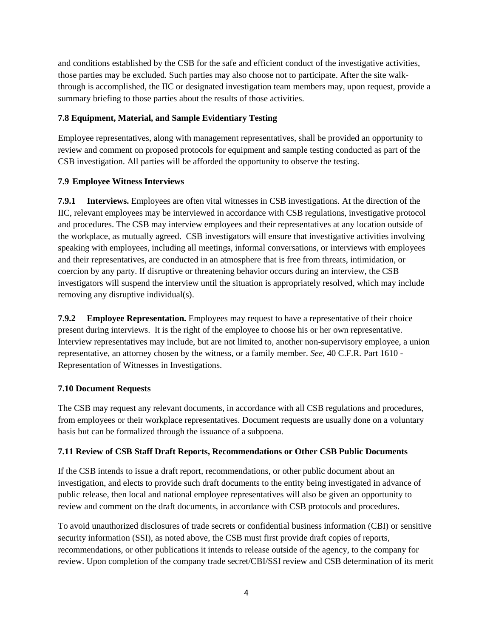and conditions established by the CSB for the safe and efficient conduct of the investigative activities, those parties may be excluded. Such parties may also choose not to participate. After the site walkthrough is accomplished, the IIC or designated investigation team members may, upon request, provide a summary briefing to those parties about the results of those activities.

# **7.8 Equipment, Material, and Sample Evidentiary Testing**

Employee representatives, along with management representatives, shall be provided an opportunity to review and comment on proposed protocols for equipment and sample testing conducted as part of the CSB investigation. All parties will be afforded the opportunity to observe the testing.

### **7.9 Employee Witness Interviews**

**7.9.1 Interviews.** Employees are often vital witnesses in CSB investigations. At the direction of the IIC, relevant employees may be interviewed in accordance with CSB regulations, investigative protocol and procedures. The CSB may interview employees and their representatives at any location outside of the workplace, as mutually agreed. CSB investigators will ensure that investigative activities involving speaking with employees, including all meetings, informal conversations, or interviews with employees and their representatives, are conducted in an atmosphere that is free from threats, intimidation, or coercion by any party. If disruptive or threatening behavior occurs during an interview, the CSB investigators will suspend the interview until the situation is appropriately resolved, which may include removing any disruptive individual(s).

**7.9.2 Employee Representation.** Employees may request to have a representative of their choice present during interviews. It is the right of the employee to choose his or her own representative. Interview representatives may include, but are not limited to, another non-supervisory employee, a union representative, an attorney chosen by the witness, or a family member. *See,* 40 C.F.R. Part 1610 - Representation of Witnesses in Investigations.

# **7.10 Document Requests**

The CSB may request any relevant documents, in accordance with all CSB regulations and procedures, from employees or their workplace representatives. Document requests are usually done on a voluntary basis but can be formalized through the issuance of a subpoena.

#### **7.11 Review of CSB Staff Draft Reports, Recommendations or Other CSB Public Documents**

If the CSB intends to issue a draft report, recommendations, or other public document about an investigation, and elects to provide such draft documents to the entity being investigated in advance of public release, then local and national employee representatives will also be given an opportunity to review and comment on the draft documents, in accordance with CSB protocols and procedures.

To avoid unauthorized disclosures of trade secrets or confidential business information (CBI) or sensitive security information (SSI), as noted above, the CSB must first provide draft copies of reports, recommendations, or other publications it intends to release outside of the agency, to the company for review. Upon completion of the company trade secret/CBI/SSI review and CSB determination of its merit